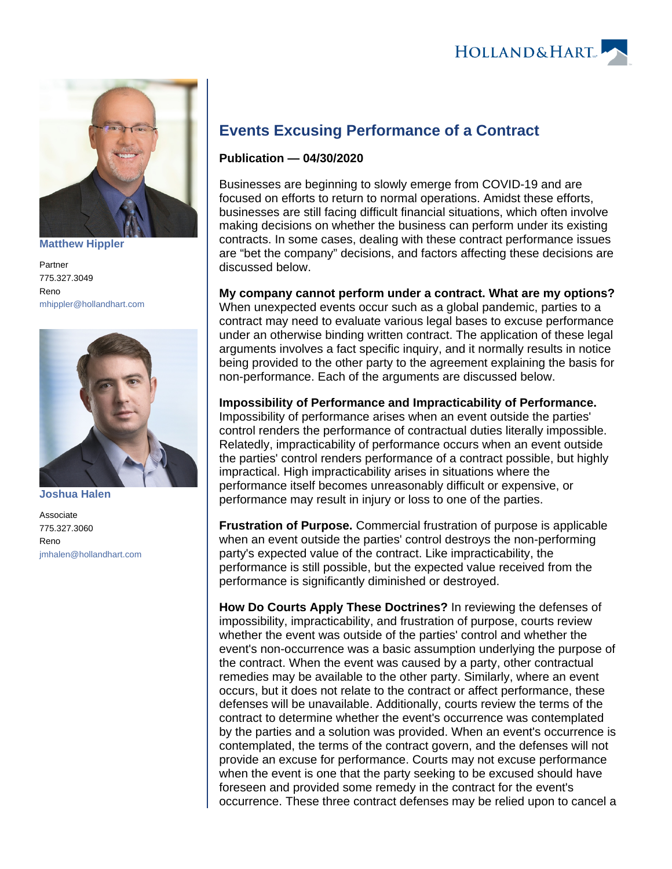

**[Matthew Hippler](https://www.hollandhart.com/15546)**

Partner 775.327.3049 Reno [mhippler@hollandhart.com](mailto:mhippler@hollandhart.com)



**[Joshua Halen](https://www.hollandhart.com/35523)**

Associate 775.327.3060 Reno [jmhalen@hollandhart.com](mailto:jmhalen@hollandhart.com)

## **Events Excusing Performance of a Contract**

## **Publication — 04/30/2020**

Businesses are beginning to slowly emerge from COVID-19 and are focused on efforts to return to normal operations. Amidst these efforts, businesses are still facing difficult financial situations, which often involve making decisions on whether the business can perform under its existing contracts. In some cases, dealing with these contract performance issues are "bet the company" decisions, and factors affecting these decisions are discussed below.

**My company cannot perform under a contract. What are my options?** When unexpected events occur such as a global pandemic, parties to a contract may need to evaluate various legal bases to excuse performance under an otherwise binding written contract. The application of these legal arguments involves a fact specific inquiry, and it normally results in notice being provided to the other party to the agreement explaining the basis for non-performance. Each of the arguments are discussed below.

**Impossibility of Performance and Impracticability of Performance.** Impossibility of performance arises when an event outside the parties' control renders the performance of contractual duties literally impossible. Relatedly, impracticability of performance occurs when an event outside the parties' control renders performance of a contract possible, but highly impractical. High impracticability arises in situations where the performance itself becomes unreasonably difficult or expensive, or performance may result in injury or loss to one of the parties.

**Frustration of Purpose.** Commercial frustration of purpose is applicable when an event outside the parties' control destroys the non-performing party's expected value of the contract. Like impracticability, the performance is still possible, but the expected value received from the performance is significantly diminished or destroyed.

**How Do Courts Apply These Doctrines?** In reviewing the defenses of impossibility, impracticability, and frustration of purpose, courts review whether the event was outside of the parties' control and whether the event's non-occurrence was a basic assumption underlying the purpose of the contract. When the event was caused by a party, other contractual remedies may be available to the other party. Similarly, where an event occurs, but it does not relate to the contract or affect performance, these defenses will be unavailable. Additionally, courts review the terms of the contract to determine whether the event's occurrence was contemplated by the parties and a solution was provided. When an event's occurrence is contemplated, the terms of the contract govern, and the defenses will not provide an excuse for performance. Courts may not excuse performance when the event is one that the party seeking to be excused should have foreseen and provided some remedy in the contract for the event's occurrence. These three contract defenses may be relied upon to cancel a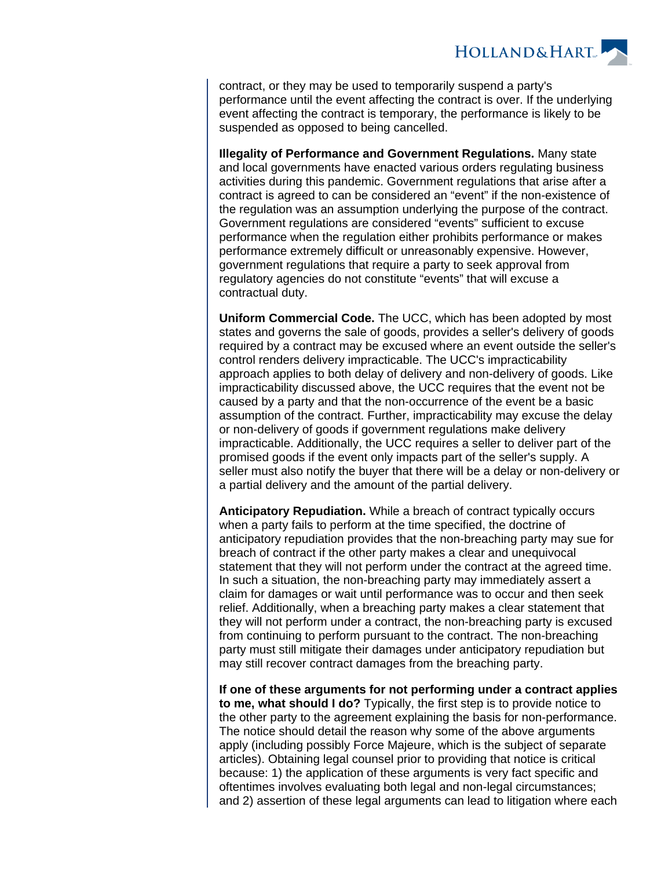

contract, or they may be used to temporarily suspend a party's performance until the event affecting the contract is over. If the underlying event affecting the contract is temporary, the performance is likely to be suspended as opposed to being cancelled.

**Illegality of Performance and Government Regulations.** Many state and local governments have enacted various orders regulating business activities during this pandemic. Government regulations that arise after a contract is agreed to can be considered an "event" if the non-existence of the regulation was an assumption underlying the purpose of the contract. Government regulations are considered "events" sufficient to excuse performance when the regulation either prohibits performance or makes performance extremely difficult or unreasonably expensive. However, government regulations that require a party to seek approval from regulatory agencies do not constitute "events" that will excuse a contractual duty.

**Uniform Commercial Code.** The UCC, which has been adopted by most states and governs the sale of goods, provides a seller's delivery of goods required by a contract may be excused where an event outside the seller's control renders delivery impracticable. The UCC's impracticability approach applies to both delay of delivery and non-delivery of goods. Like impracticability discussed above, the UCC requires that the event not be caused by a party and that the non-occurrence of the event be a basic assumption of the contract. Further, impracticability may excuse the delay or non-delivery of goods if government regulations make delivery impracticable. Additionally, the UCC requires a seller to deliver part of the promised goods if the event only impacts part of the seller's supply. A seller must also notify the buyer that there will be a delay or non-delivery or a partial delivery and the amount of the partial delivery.

**Anticipatory Repudiation.** While a breach of contract typically occurs when a party fails to perform at the time specified, the doctrine of anticipatory repudiation provides that the non-breaching party may sue for breach of contract if the other party makes a clear and unequivocal statement that they will not perform under the contract at the agreed time. In such a situation, the non-breaching party may immediately assert a claim for damages or wait until performance was to occur and then seek relief. Additionally, when a breaching party makes a clear statement that they will not perform under a contract, the non-breaching party is excused from continuing to perform pursuant to the contract. The non-breaching party must still mitigate their damages under anticipatory repudiation but may still recover contract damages from the breaching party.

**If one of these arguments for not performing under a contract applies to me, what should I do?** Typically, the first step is to provide notice to the other party to the agreement explaining the basis for non-performance. The notice should detail the reason why some of the above arguments apply (including possibly Force Majeure, which is the subject of separate articles). Obtaining legal counsel prior to providing that notice is critical because: 1) the application of these arguments is very fact specific and oftentimes involves evaluating both legal and non-legal circumstances; and 2) assertion of these legal arguments can lead to litigation where each